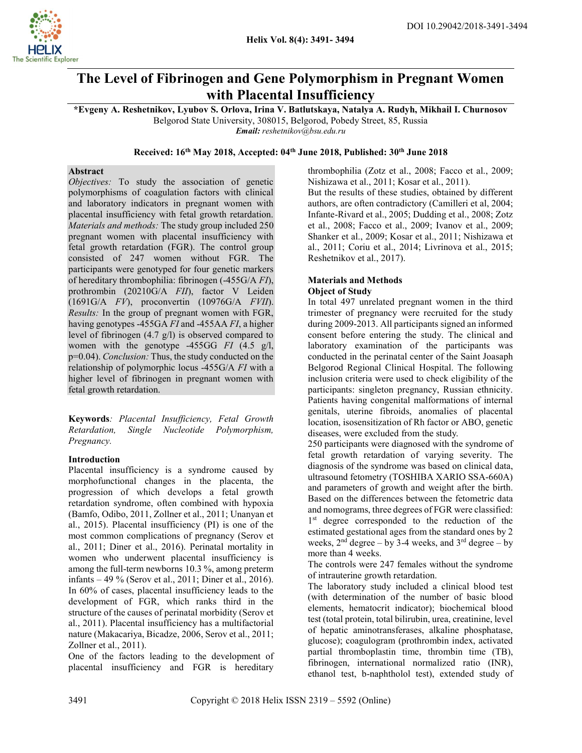

# The Level of Fibrinogen and Gene Polymorphism in Pregnant Women with Placental Insufficiency

\*Evgeny A. Reshetnikov, Lyubov S. Orlova, Irina V. Batlutskaya, Natalya A. Rudyh, Mikhail I. Churnosov Belgorod State University, 308015, Belgorod, Pobedy Street, 85, Russia

Email: reshetnikov@bsu.edu.ru

# Received: 16<sup>th</sup> May 2018, Accepted: 04<sup>th</sup> June 2018, Published: 30<sup>th</sup> June 2018

## Abstract

Objectives: To study the association of genetic polymorphisms of coagulation factors with clinical and laboratory indicators in pregnant women with placental insufficiency with fetal growth retardation. Materials and methods: The study group included 250 pregnant women with placental insufficiency with fetal growth retardation (FGR). The control group consisted of 247 women without FGR. The participants were genotyped for four genetic markers of hereditary thrombophilia: fibrinogen (-455G/A FI), prothrombin (20210G/A FII), factor V Leiden (1691G/A FV), proconvertin (10976G/A FVII). Results: In the group of pregnant women with FGR, having genotypes -455GA FI and -455AA FI, a higher level of fibrinogen (4.7 g/l) is observed compared to women with the genotype -455GG FI (4.5 g/l, p=0.04). Conclusion: Thus, the study conducted on the relationship of polymorphic locus -455G/A FI with a higher level of fibrinogen in pregnant women with fetal growth retardation.

Keywords: Placental Insufficiency, Fetal Growth Retardation, Single Nucleotide Polymorphism, Pregnancy.

## Introduction

Placental insufficiency is a syndrome caused by morphofunctional changes in the placenta, the progression of which develops a fetal growth retardation syndrome, often combined with hypoxia (Bamfo, Odibo, 2011, Zollner et al., 2011; Unanyan et al., 2015). Placental insufficiency (PI) is one of the most common complications of pregnancy (Serov et al., 2011; Diner et al., 2016). Perinatal mortality in women who underwent placental insufficiency is among the full-term newborns 10.3 %, among preterm infants – 49 % (Serov et al., 2011; Diner et al., 2016). In 60% of cases, placental insufficiency leads to the development of FGR, which ranks third in the structure of the causes of perinatal morbidity (Serov et al., 2011). Placental insufficiency has a multifactorial nature (Makacariya, Bicadze, 2006, Serov et al., 2011; Zollner et al., 2011).

One of the factors leading to the development of placental insufficiency and FGR is hereditary

thrombophilia (Zotz et al., 2008; Facco et al., 2009; Nishizawa et al., 2011; Kosar et al., 2011).

But the results of these studies, obtained by different authors, are often contradictory (Camilleri et al, 2004; Infante-Rivard et al., 2005; Dudding et al., 2008; Zotz et al., 2008; Facco et al., 2009; Ivanov et al., 2009; Shanker et al., 2009; Kosar et al., 2011; Nishizawa et al., 2011; Coriu et al., 2014; Livrinova et al., 2015; Reshetnikov et al., 2017).

## Materials and Methods Object of Study

In total 497 unrelated pregnant women in the third trimester of pregnancy were recruited for the study during 2009-2013. All participants signed an informed consent before entering the study. The clinical and laboratory examination of the participants was conducted in the perinatal center of the Saint Joasaph Belgorod Regional Clinical Hospital. The following inclusion criteria were used to check eligibility of the participants: singleton pregnancy, Russian ethnicity. Patients having congenital malformations of internal genitals, uterine fibroids, anomalies of placental location, isosensitization of Rh factor or ABO, genetic diseases, were excluded from the study.

250 participants were diagnosed with the syndrome of fetal growth retardation of varying severity. The diagnosis of the syndrome was based on clinical data, ultrasound fetometry (TOSHIBA XARIO SSA-660A) and parameters of growth and weight after the birth. Based on the differences between the fetometric data and nomograms, three degrees of FGR were classified: 1<sup>st</sup> degree corresponded to the reduction of the estimated gestational ages from the standard ones by 2 weeks,  $2<sup>nd</sup>$  degree – by 3-4 weeks, and  $3<sup>rd</sup>$  degree – by more than 4 weeks.

The controls were 247 females without the syndrome of intrauterine growth retardation.

The laboratory study included a clinical blood test (with determination of the number of basic blood elements, hematocrit indicator); biochemical blood test (total protein, total bilirubin, urea, creatinine, level of hepatic aminotransferases, alkaline phosphatase, glucose); coagulogram (prothrombin index, activated partial thromboplastin time, thrombin time (TB), fibrinogen, international normalized ratio (INR), ethanol test, b-naphtholol test), extended study of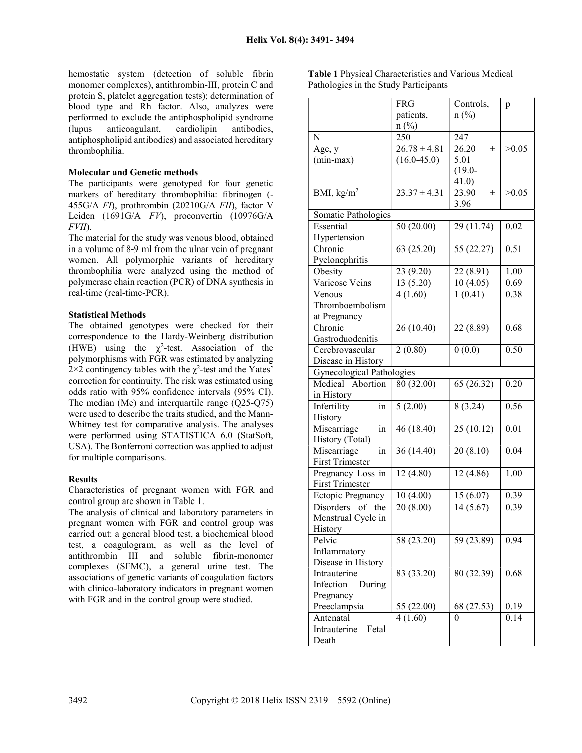hemostatic system (detection of soluble fibrin monomer complexes), antithrombin-III, protein C and protein S, platelet aggregation tests); determination of blood type and Rh factor. Also, analyzes were performed to exclude the antiphospholipid syndrome<br>(lupus anticoagulant, cardiolipin antibodies, (lupus anticoagulant, cardiolipin antibodies, antiphospholipid antibodies) and associated hereditary thrombophilia.

#### Molecular and Genetic methods

The participants were genotyped for four genetic markers of hereditary thrombophilia: fibrinogen (- 455G/A FI), prothrombin (20210G/A FII), factor V Leiden (1691G/A FV), proconvertin (10976G/A FVII).

The material for the study was venous blood, obtained in a volume of 8-9 ml from the ulnar vein of pregnant women. All polymorphic variants of hereditary thrombophilia were analyzed using the method of polymerase chain reaction (PCR) of DNA synthesis in real-time (real-time-PCR).

#### Statistical Methods

The obtained genotypes were checked for their correspondence to the Hardy-Weinberg distribution (HWE) using the  $\chi^2$ -test. Association of the polymorphisms with FGR was estimated by analyzing  $2 \times 2$  contingency tables with the  $\chi^2$ -test and the Yates' correction for continuity. The risk was estimated using odds ratio with 95% confidence intervals (95% CI). The median (Me) and interquartile range (Q25-Q75) were used to describe the traits studied, and the Mann-Whitney test for comparative analysis. The analyses were performed using STATISTICA 6.0 (StatSoft, USA). The Bonferroni correction was applied to adjust for multiple comparisons.

#### Results

Characteristics of pregnant women with FGR and control group are shown in Table 1.

The analysis of clinical and laboratory parameters in pregnant women with FGR and control group was carried out: a general blood test, a biochemical blood test, a coagulogram, as well as the level of antithrombin III and soluble fibrin-monomer complexes (SFMC), a general urine test. The associations of genetic variants of coagulation factors with clinico-laboratory indicators in pregnant women with FGR and in the control group were studied.

Table 1 Physical Characteristics and Various Medical Pathologies in the Study Participants

|                                    | <b>FRG</b>             | Controls,             | p                 |
|------------------------------------|------------------------|-----------------------|-------------------|
|                                    | patients,              | $n(^{0}/_{0})$        |                   |
|                                    | $n(^{0}/_{0})$         |                       |                   |
| N                                  | 250                    | 247                   |                   |
| Age, y                             | $26.78 \pm 4.81$       | 26.20<br>$\pm$        | >0.05             |
| $(min-max)$                        | $(16.0 - 45.0)$        | 5.01                  |                   |
|                                    |                        | $(19.0 -$             |                   |
|                                    |                        | 41.0)                 |                   |
| BMI, $kg/m^2$                      | $23.37 \pm 4.31$       | 23.90<br>士            | >0.05             |
|                                    |                        | 3.96                  |                   |
| Somatic Pathologies                |                        |                       |                   |
| Essential                          | 50 (20.00)             | 29 (11.74)            | 0.02              |
| Hypertension                       |                        |                       |                   |
| Chronic                            | 63 (25.20)             | 55 (22.27)            | 0.51              |
| Pyelonephritis                     |                        |                       |                   |
| Obesity                            | 23 (9.20)              | 22 (8.91)             | 1.00              |
| Varicose Veins                     | 13 (5.20)              | 10(4.05)              | 0.69              |
| Venous                             | 4(1.60)                | 1(0.41)               | 0.38              |
| Thromboembolism                    |                        |                       |                   |
| at Pregnancy                       |                        |                       |                   |
| Chronic                            | 26 (10.40)             | 22 (8.89)             | 0.68              |
| Gastroduodenitis                   |                        |                       |                   |
| Cerebrovascular                    | 2(0.80)                | 0(0.0)                | 0.50              |
| Disease in History                 |                        |                       |                   |
| Gynecological Pathologies          |                        |                       |                   |
| Medical Abortion                   | 80 (32.00)             | 65 (26.32)            | 0.20              |
| in History                         |                        |                       |                   |
| Infertility<br>in                  | 5(2.00)                | 8(3.24)               | 0.56              |
| History                            |                        |                       |                   |
| Miscarriage<br>in                  | 46(18.40)              | 25(10.12)             | $\overline{0.01}$ |
| History (Total)                    |                        |                       |                   |
| Miscarriage<br>in                  | 36(14.40)              | $\overline{20(8.10)}$ | 0.04              |
| <b>First Trimester</b>             |                        |                       |                   |
| Pregnancy Loss in                  | 12 (4.80)              | 12 (4.86)             | 1.00              |
| <b>First Trimester</b>             |                        |                       |                   |
| <b>Ectopic Pregnancy</b>           |                        | 15(6.07)              | 0.39              |
| Disorders<br>of<br>the             | 10 (4.00)<br>20 (8.00) | $\overline{14(5.67)}$ | 0.39              |
| Menstrual Cycle in                 |                        |                       |                   |
| History                            |                        |                       |                   |
| Pelvic                             |                        |                       | 0.94              |
|                                    | 58 (23.20)             | 59 (23.89)            |                   |
| Inflammatory                       |                        |                       |                   |
| Disease in History<br>Intrauterine |                        |                       |                   |
|                                    | 83 (33.20)             | 80 (32.39)            | 0.68              |
| Infection<br>During                |                        |                       |                   |
| Pregnancy                          |                        |                       |                   |
| Preeclampsia                       | 55 (22.00)             | 68 (27.53)            | 0.19              |
| Antenatal                          | 4(1.60)                | 0                     | 0.14              |
| Intrauterine<br>Fetal              |                        |                       |                   |
| Death                              |                        |                       |                   |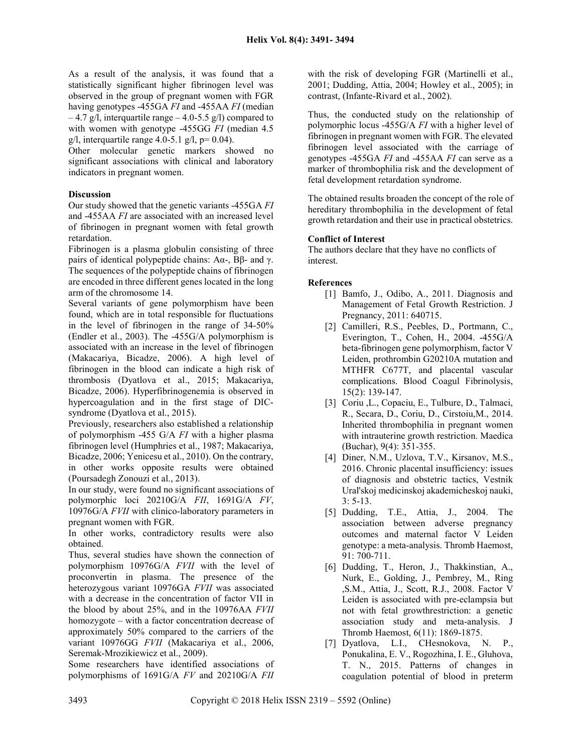As a result of the analysis, it was found that a statistically significant higher fibrinogen level was observed in the group of pregnant women with FGR having genotypes -455GA FI and -455AA FI (median  $-4.7$  g/l, interquartile range  $-4.0$ -5.5 g/l) compared to with women with genotype -455GG FI (median 4.5) g/l, interquartile range 4.0-5.1 g/l,  $p= 0.04$ ).

Other molecular genetic markers showed no significant associations with clinical and laboratory indicators in pregnant women.

# Discussion

Our study showed that the genetic variants -455GA FI and -455AA FI are associated with an increased level of fibrinogen in pregnant women with fetal growth retardation.

Fibrinogen is a plasma globulin consisting of three pairs of identical polypeptide chains:  $A\alpha$ -,  $B\beta$ - and γ. The sequences of the polypeptide chains of fibrinogen are encoded in three different genes located in the long arm of the chromosome 14.

Several variants of gene polymorphism have been found, which are in total responsible for fluctuations in the level of fibrinogen in the range of 34-50% (Endler et al., 2003). The -455G/A polymorphism is associated with an increase in the level of fibrinogen (Makacariya, Bicadze, 2006). A high level of fibrinogen in the blood can indicate a high risk of thrombosis (Dyatlova et al., 2015; Makacariya, Bicadze, 2006). Hyperfibrinogenemia is observed in hypercoagulation and in the first stage of DICsyndrome (Dyatlova et al., 2015).

Previously, researchers also established a relationship of polymorphism -455 G/A FI with a higher plasma fibrinogen level (Humphries et al., 1987; Makacariya, Bicadze, 2006; Yenicesu et al., 2010). On the contrary, in other works opposite results were obtained (Poursadegh Zonouzi et al., 2013).

In our study, were found no significant associations of polymorphic loci 20210G/A FII, 1691G/A FV, 10976G/A FVII with clinico-laboratory parameters in pregnant women with FGR.

In other works, contradictory results were also obtained.

Thus, several studies have shown the connection of polymorphism 10976G/A FVII with the level of proconvertin in plasma. The presence of the heterozygous variant 10976GA FVII was associated with a decrease in the concentration of factor VII in the blood by about 25%, and in the 10976AA FVII homozygote – with a factor concentration decrease of approximately 50% compared to the carriers of the variant 10976GG FVII (Makacariya et al., 2006, Seremak-Mrozikiewicz et al., 2009).

Some researchers have identified associations of polymorphisms of 1691G/A FV and 20210G/A FII

with the risk of developing FGR (Martinelli et al., 2001; Dudding, Attia, 2004; Howley et al., 2005); in contrast, (Infante-Rivard et al., 2002).

Thus, the conducted study on the relationship of polymorphic locus -455G/A FI with a higher level of fibrinogen in pregnant women with FGR. The elevated fibrinogen level associated with the carriage of genotypes -455GA FI and -455AA FI can serve as a marker of thrombophilia risk and the development of fetal development retardation syndrome.

The obtained results broaden the concept of the role of hereditary thrombophilia in the development of fetal growth retardation and their use in practical obstetrics.

# Conflict of Interest

The authors declare that they have no conflicts of interest.

# References

- [1] Bamfo, J., Odibo, A., 2011. Diagnosis and Management of Fetal Growth Restriction. J Pregnancy, 2011: 640715.
- [2] Camilleri, R.S., Peebles, D., Portmann, C., Everington, T., Cohen, H., 2004. -455G/A beta-fibrinogen gene polymorphism, factor V Leiden, prothrombin G20210A mutation and MTHFR C677T, and placental vascular complications. Blood Coagul Fibrinolysis, 15(2): 139-147.
- [3] Coriu ,L., Copaciu, E., Tulbure, D., Talmaci, R., Secara, D., Coriu, D., Cirstoiu,M., 2014. Inherited thrombophilia in pregnant women with intrauterine growth restriction. Maedica (Buchar), 9(4): 351-355.
- [4] Diner, N.М., Uzlova, T.V., Kirsanov, M.S., 2016. Chronic placental insufficiency: issues of diagnosis and obstetric tactics, Vestnik Ural'skoj medicinskoj akademicheskoj nauki, 3: 5-13.
- [5] Dudding, T.E., Attia, J., 2004. The association between adverse pregnancy outcomes and maternal factor V Leiden genotype: a meta-analysis. Thromb Haemost, 91: 700-711.
- [6] Dudding, T., Heron, J., Thakkinstian, A., Nurk, E., Golding, J., Pembrey, M., Ring ,S.M., Attia, J., Scott, R.J., 2008. Factor V Leiden is associated with pre-eclampsia but not with fetal growthrestriction: a genetic association study and meta-analysis. J Thromb Haemost, 6(11): 1869-1875.
- [7] Dyatlova, L.I., CHesnokova, N. P., Ponukalina, E. V., Rogozhina, I. E., Gluhova, T. N., 2015. Patterns of changes in coagulation potential of blood in preterm